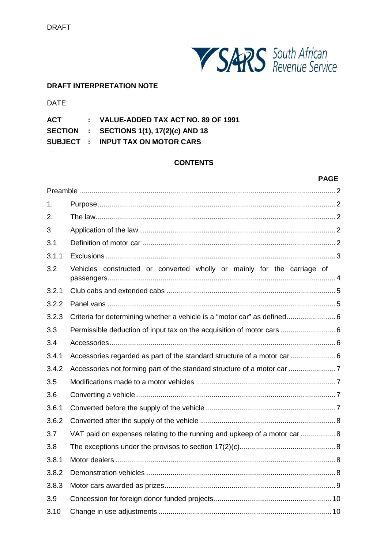

# **DRAFT INTERPRETATION NOTE**

DATE:

### **ACT : VALUE-ADDED TAX ACT NO. 89 OF 1991**

**SECTION : SECTIONS 1(1), 17(2)(***c***) AND 18**

**SUBJECT : INPUT TAX ON MOTOR CARS**

# **CONTENTS**

### **PAGE**

<span id="page-0-0"></span>

| 1.    |                                                                           |  |
|-------|---------------------------------------------------------------------------|--|
| 2.    |                                                                           |  |
| 3.    |                                                                           |  |
| 3.1   |                                                                           |  |
| 3.1.1 |                                                                           |  |
| 3.2   | Vehicles constructed or converted wholly or mainly for the carriage of    |  |
| 3.2.1 |                                                                           |  |
| 3.2.2 |                                                                           |  |
| 3.2.3 | Criteria for determining whether a vehicle is a "motor car" as defined 6  |  |
| 3.3   | Permissible deduction of input tax on the acquisition of motor cars  6    |  |
| 3.4   |                                                                           |  |
| 3.4.1 | Accessories regarded as part of the standard structure of a motor car  6  |  |
| 3.4.2 |                                                                           |  |
| 3.5   |                                                                           |  |
| 3.6   |                                                                           |  |
| 3.6.1 |                                                                           |  |
| 3.6.2 |                                                                           |  |
| 3.7   | VAT paid on expenses relating to the running and upkeep of a motor car  8 |  |
| 3.8   |                                                                           |  |
| 3.8.1 |                                                                           |  |
| 3.8.2 |                                                                           |  |
| 3.8.3 |                                                                           |  |
| 3.9   |                                                                           |  |
| 3.10  |                                                                           |  |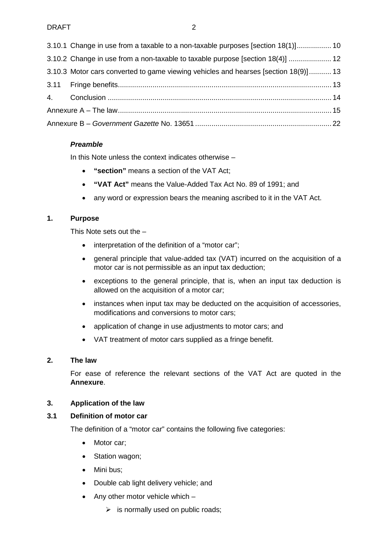|  | 3.10.1 Change in use from a taxable to a non-taxable purposes [section 18(1)] 10    |  |
|--|-------------------------------------------------------------------------------------|--|
|  | 3.10.2 Change in use from a non-taxable to taxable purpose [section 18(4)]  12      |  |
|  | 3.10.3 Motor cars converted to game viewing vehicles and hearses [section 18(9)] 13 |  |
|  |                                                                                     |  |
|  |                                                                                     |  |
|  |                                                                                     |  |
|  |                                                                                     |  |

# <span id="page-1-0"></span>*Preamble*

In this Note unless the context indicates otherwise –

- **"section"** means a section of the VAT Act;
- **"VAT Act"** means the Value-Added Tax Act No. 89 of 1991; and
- any word or expression bears the meaning ascribed to it in the VAT Act.

### <span id="page-1-1"></span>**1. Purpose**

This Note sets out the –

- interpretation of the definition of a "motor car":
- general principle that value-added tax (VAT) incurred on the acquisition of a motor car is not permissible as an input tax deduction;
- exceptions to the general principle, that is, when an input tax deduction is allowed on the acquisition of a motor car;
- instances when input tax may be deducted on the acquisition of accessories, modifications and conversions to motor cars;
- application of change in use adjustments to motor cars; and
- VAT treatment of motor cars supplied as a fringe benefit.

### <span id="page-1-2"></span>**2. The law**

For ease of reference the relevant sections of the VAT Act are quoted in the **[Annexure](#page-14-0)**.

### <span id="page-1-3"></span>**3. Application of the law**

### <span id="page-1-4"></span>**3.1 Definition of motor car**

<span id="page-1-5"></span>The definition of a "motor car" contains the following five categories:

- Motor car:
- Station wagon;
- Mini bus;
- Double cab light delivery vehicle; and
- Any other motor vehicle which
	- $\triangleright$  is normally used on public roads;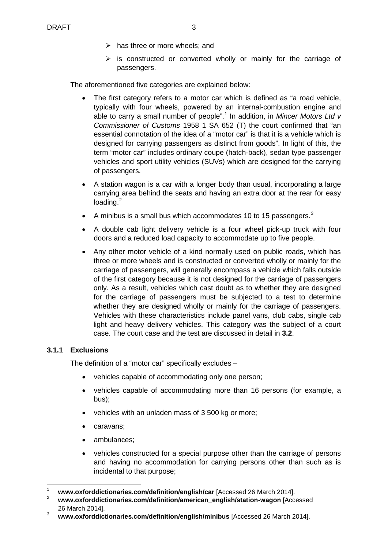- $\triangleright$  has three or more wheels; and
- $\triangleright$  is constructed or converted wholly or mainly for the carriage of passengers.

The aforementioned five categories are explained below:

- The first category refers to a motor car which is defined as "a road vehicle, typically with four wheels, powered by an internal-combustion engine and able to carry a small number of people". [1](#page-0-0) In addition, in *Mincer Motors Ltd v Commissioner of Customs* 1958 1 SA 652 (T) the court confirmed that "an essential connotation of the idea of a "motor car" is that it is a vehicle which is designed for carrying passengers as distinct from goods". In light of this, the term "motor car" includes ordinary coupe (hatch-back), sedan type passenger vehicles and sport utility vehicles (SUVs) which are designed for the carrying of passengers.
- A station wagon is a car with a longer body than usual, incorporating a large carrying area behind the seats and having an extra door at the rear for easy loading.<sup>[2](#page-2-1)</sup>
- A minibus is a small bus which accommodates 10 to 15 passengers. $3$
- A double cab light delivery vehicle is a four wheel pick-up truck with four doors and a reduced load capacity to accommodate up to five people.
- Any other motor vehicle of a kind normally used on public roads, which has three or more wheels and is constructed or converted wholly or mainly for the carriage of passengers, will generally encompass a vehicle which falls outside of the first category because it is not designed for the carriage of passengers only. As a result, vehicles which cast doubt as to whether they are designed for the carriage of passengers must be subjected to a test to determine whether they are designed wholly or mainly for the carriage of passengers. Vehicles with these characteristics include panel vans, club cabs, single cab light and heavy delivery vehicles. This category was the subject of a court case. The court case and the test are discussed in detail in **3.2**.

### <span id="page-2-0"></span>**3.1.1 Exclusions**

The definition of a "motor car" specifically excludes –

- vehicles capable of accommodating only one person;
- vehicles capable of accommodating more than 16 persons (for example, a bus);
- vehicles with an unladen mass of 3 500 kg or more;
- caravans;
- ambulances;
- vehicles constructed for a special purpose other than the carriage of persons and having no accommodation for carrying persons other than such as is incidental to that purpose;

<sup>1</sup> **www.oxforddictionaries.com/definition/english/car** [Accessed 26 March 2014]. 2 **[www.oxforddictionaries.com/definition/american\\_english/station-wagon](http://www.oxforddictionaries.com/definition/american_english/station-wagon)** [Accessed

<span id="page-2-1"></span>

<span id="page-2-2"></span><sup>26</sup> March 2014]. 3 **[www.oxforddictionaries.com/definition/english/minibus](http://www.oxforddictionaries.com/definition/english/minibus)** [Accessed 26 March 2014].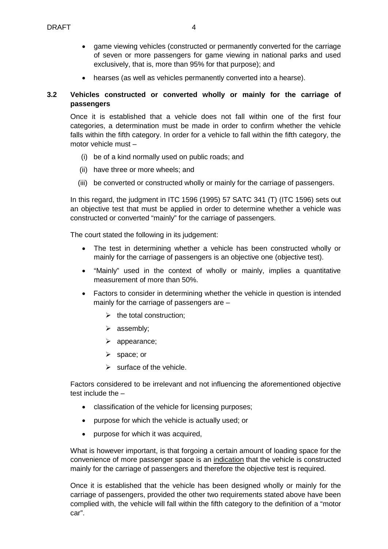- game viewing vehicles (constructed or permanently converted for the carriage of seven or more passengers for game viewing in national parks and used exclusively, that is, more than 95% for that purpose); and
- hearses (as well as vehicles permanently converted into a hearse).

### <span id="page-3-0"></span>**3.2 Vehicles constructed or converted wholly or mainly for the carriage of passengers**

Once it is established that a vehicle does not fall within one of the first four categories, a determination must be made in order to confirm whether the vehicle falls within the fifth category. In order for a vehicle to fall within the fifth category, the motor vehicle must –

- (i) be of a kind normally used on public roads; and
- (ii) have three or more wheels; and
- (iii) be converted or constructed wholly or mainly for the carriage of passengers.

In this regard, the judgment in ITC 1596 (1995) 57 SATC 341 (T) (ITC 1596) sets out an objective test that must be applied in order to determine whether a vehicle was constructed or converted "mainly" for the carriage of passengers.

The court stated the following in its judgement:

- The test in determining whether a vehicle has been constructed wholly or mainly for the carriage of passengers is an objective one (objective test).
- "Mainly" used in the context of wholly or mainly, implies a quantitative measurement of more than 50%.
- Factors to consider in determining whether the vehicle in question is intended mainly for the carriage of passengers are –
	- $\triangleright$  the total construction;
	- $\triangleright$  assembly;
	- $\triangleright$  appearance;
	- $\triangleright$  space; or
	- $\triangleright$  surface of the vehicle.

Factors considered to be irrelevant and not influencing the aforementioned objective test include the –

- classification of the vehicle for licensing purposes;
- purpose for which the vehicle is actually used; or
- purpose for which it was acquired,

What is however important, is that forgoing a certain amount of loading space for the convenience of more passenger space is an indication that the vehicle is constructed mainly for the carriage of passengers and therefore the objective test is required.

Once it is established that the vehicle has been designed wholly or mainly for the carriage of passengers, provided the other two requirements stated above have been complied with, the vehicle will fall within the fifth category to the definition of a "motor car".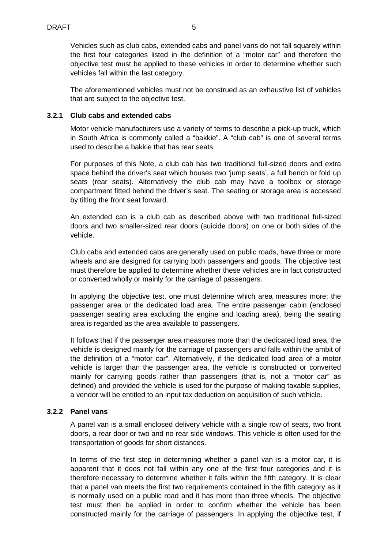Vehicles such as club cabs, extended cabs and panel vans do not fall squarely within the first four categories listed in the definition of a "motor car" and therefore the objective test must be applied to these vehicles in order to determine whether such vehicles fall within the last category.

The aforementioned vehicles must not be construed as an exhaustive list of vehicles that are subject to the objective test.

### <span id="page-4-0"></span>**3.2.1 Club cabs and extended cabs**

Motor vehicle manufacturers use a variety of terms to describe a pick-up truck, which in South Africa is commonly called a "bakkie". A "club cab" is one of several terms used to describe a bakkie that has rear seats.

For purposes of this Note, a club cab has two traditional full-sized doors and extra space behind the driver's seat which houses two 'jump seats', a full bench or fold up seats (rear seats). Alternatively the club cab may have a toolbox or storage compartment fitted behind the driver's seat. The seating or storage area is accessed by tilting the front seat forward.

An extended cab is a club cab as described above with two traditional full-sized doors and two smaller-sized rear doors (suicide doors) on one or both sides of the vehicle.

Club cabs and extended cabs are generally used on public roads, have three or more wheels and are designed for carrying both passengers and goods. The objective test must therefore be applied to determine whether these vehicles are in fact constructed or converted wholly or mainly for the carriage of passengers.

In applying the objective test, one must determine which area measures more; the passenger area or the dedicated load area. The entire passenger cabin (enclosed passenger seating area excluding the engine and loading area), being the seating area is regarded as the area available to passengers.

It follows that if the passenger area measures more than the dedicated load area, the vehicle is designed mainly for the carriage of passengers and falls within the ambit of the definition of a "motor car". Alternatively, if the dedicated load area of a motor vehicle is larger than the passenger area, the vehicle is constructed or converted mainly for carrying goods rather than passengers (that is, not a "motor car" as defined) and provided the vehicle is used for the purpose of making taxable supplies, a vendor will be entitled to an input tax deduction on acquisition of such vehicle.

### <span id="page-4-1"></span>**3.2.2 Panel vans**

A panel van is a small enclosed delivery vehicle with a single row of seats, two front doors, a rear door or two and no rear side windows. This vehicle is often used for the transportation of goods for short distances.

In terms of the first step in determining whether a panel van is a motor car, it is apparent that it does not fall within any one of the first four categories and it is therefore necessary to determine whether it falls within the fifth category. It is clear that a panel van meets the first two requirements contained in the fifth category as it is normally used on a public road and it has more than three wheels. The objective test must then be applied in order to confirm whether the vehicle has been constructed mainly for the carriage of passengers. In applying the objective test, if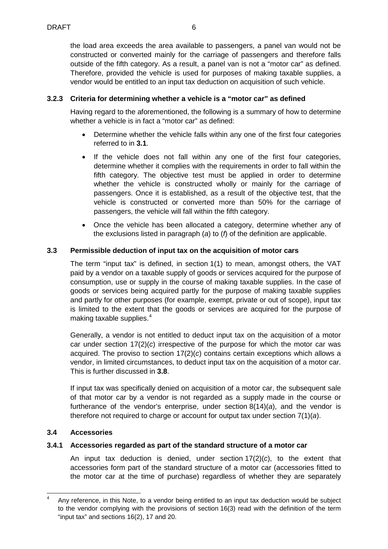the load area exceeds the area available to passengers, a panel van would not be constructed or converted mainly for the carriage of passengers and therefore falls outside of the fifth category. As a result, a panel van is not a "motor car" as defined. Therefore, provided the vehicle is used for purposes of making taxable supplies, a vendor would be entitled to an input tax deduction on acquisition of such vehicle.

### <span id="page-5-0"></span>**3.2.3 Criteria for determining whether a vehicle is a "motor car" as defined**

Having regard to the aforementioned, the following is a summary of how to determine whether a vehicle is in fact a "motor car" as defined:

- Determine whether the vehicle falls within any one of the first four categories referred to in **[3.1](#page-1-5)**.
- If the vehicle does not fall within any one of the first four categories, determine whether it complies with the requirements in order to fall within the fifth category. The objective test must be applied in order to determine whether the vehicle is constructed wholly or mainly for the carriage of passengers. Once it is established, as a result of the objective test, that the vehicle is constructed or converted more than 50% for the carriage of passengers, the vehicle will fall within the fifth category.
- Once the vehicle has been allocated a category, determine whether any of the exclusions listed in paragraph (*a*) to (*f*) of the definition are applicable.

### <span id="page-5-1"></span>**3.3 Permissible deduction of input tax on the acquisition of motor cars**

The term "input tax" is defined, in section 1(1) to mean, amongst others, the VAT paid by a vendor on a taxable supply of goods or services acquired for the purpose of consumption, use or supply in the course of making taxable supplies. In the case of goods or services being acquired partly for the purpose of making taxable supplies and partly for other purposes (for example, exempt, private or out of scope), input tax is limited to the extent that the goods or services are acquired for the purpose of making taxable supplies. [4](#page-2-1)

Generally, a vendor is not entitled to deduct input tax on the acquisition of a motor car under section 17(2)(*c*) irrespective of the purpose for which the motor car was acquired. The proviso to section 17(2)(*c*) contains certain exceptions which allows a vendor, in limited circumstances, to deduct input tax on the acquisition of a motor car. This is further discussed in **[3.8](#page-7-2)**.

If input tax was specifically denied on acquisition of a motor car, the subsequent sale of that motor car by a vendor is not regarded as a supply made in the course or furtherance of the vendor's enterprise, under section 8(14)(*a*), and the vendor is therefore not required to charge or account for output tax under section 7(1)(*a*).

### <span id="page-5-2"></span>**3.4 Accessories**

### <span id="page-5-3"></span>**3.4.1 Accessories regarded as part of the standard structure of a motor car**

An input tax deduction is denied, under section 17(2)(*c*), to the extent that accessories form part of the standard structure of a motor car (accessories fitted to the motor car at the time of purchase) regardless of whether they are separately

<span id="page-5-4"></span> <sup>4</sup> Any reference, in this Note, to a vendor being entitled to an input tax deduction would be subject to the vendor complying with the provisions of section 16(3) read with the definition of the term "input tax" and sections 16(2), 17 and 20.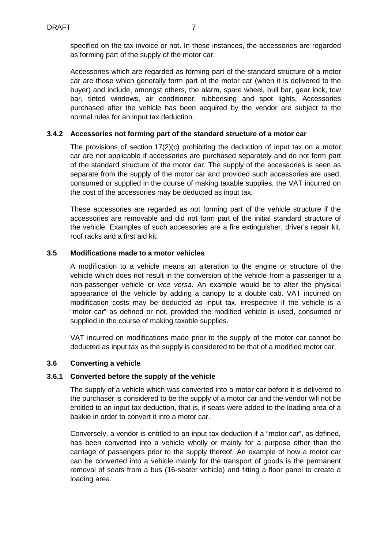specified on the tax invoice or not. In these instances, the accessories are regarded as forming part of the supply of the motor car.

Accessories which are regarded as forming part of the standard structure of a motor car are those which generally form part of the motor car (when it is delivered to the buyer) and include, amongst others, the alarm, spare wheel, bull bar, gear lock, tow bar, tinted windows, air conditioner, rubberising and spot lights. Accessories purchased after the vehicle has been acquired by the vendor are subject to the normal rules for an input tax deduction.

#### <span id="page-6-0"></span>**3.4.2 Accessories not forming part of the standard structure of a motor car**

The provisions of section 17(2)(*c*) prohibiting the deduction of input tax on a motor car are not applicable if accessories are purchased separately and do not form part of the standard structure of the motor car. The supply of the accessories is seen as separate from the supply of the motor car and provided such accessories are used, consumed or supplied in the course of making taxable supplies, the VAT incurred on the cost of the accessories may be deducted as input tax.

These accessories are regarded as not forming part of the vehicle structure if the accessories are removable and did not form part of the initial standard structure of the vehicle. Examples of such accessories are a fire extinguisher, driver's repair kit, roof racks and a first aid kit.

#### <span id="page-6-1"></span>**3.5 Modifications made to a motor vehicles**

A modification to a vehicle means an alteration to the engine or structure of the vehicle which does not result in the conversion of the vehicle from a passenger to a non-passenger vehicle or *vice versa*. An example would be to alter the physical appearance of the vehicle by adding a canopy to a double cab. VAT incurred on modification costs may be deducted as input tax, irrespective if the vehicle is a "motor car" as defined or not, provided the modified vehicle is used, consumed or supplied in the course of making taxable supplies.

VAT incurred on modifications made prior to the supply of the motor car cannot be deducted as input tax as the supply is considered to be that of a modified motor car.

#### <span id="page-6-2"></span>**3.6 Converting a vehicle**

#### <span id="page-6-3"></span>**3.6.1 Converted before the supply of the vehicle**

The supply of a vehicle which was converted into a motor car before it is delivered to the purchaser is considered to be the supply of a motor car and the vendor will not be entitled to an input tax deduction, that is, if seats were added to the loading area of a bakkie in order to convert it into a motor car.

Conversely, a vendor is entitled to an input tax deduction if a "motor car", as defined, has been converted into a vehicle wholly or mainly for a purpose other than the carriage of passengers prior to the supply thereof. An example of how a motor car can be converted into a vehicle mainly for the transport of goods is the permanent removal of seats from a bus (16-seater vehicle) and fitting a floor panel to create a loading area.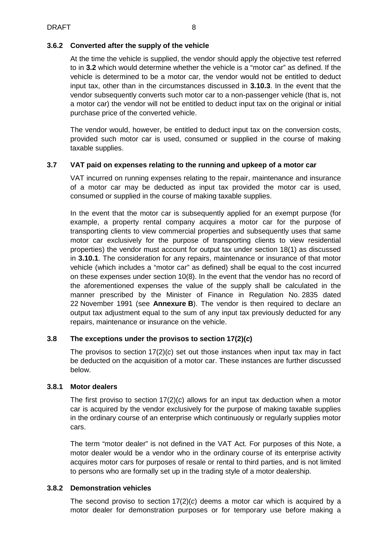### <span id="page-7-0"></span>**3.6.2 Converted after the supply of the vehicle**

At the time the vehicle is supplied, the vendor should apply the objective test referred to in **[3.2](#page-3-0)** which would determine whether the vehicle is a "motor car" as defined. If the vehicle is determined to be a motor car, the vendor would not be entitled to deduct input tax, other than in the circumstances discussed in **[3.10.3](#page-12-0)**. In the event that the vendor subsequently converts such motor car to a non-passenger vehicle (that is, not a motor car) the vendor will not be entitled to deduct input tax on the original or initial purchase price of the converted vehicle.

The vendor would, however, be entitled to deduct input tax on the conversion costs, provided such motor car is used, consumed or supplied in the course of making taxable supplies.

### <span id="page-7-1"></span>**3.7 VAT paid on expenses relating to the running and upkeep of a motor car**

VAT incurred on running expenses relating to the repair, maintenance and insurance of a motor car may be deducted as input tax provided the motor car is used, consumed or supplied in the course of making taxable supplies.

In the event that the motor car is subsequently applied for an exempt purpose (for example, a property rental company acquires a motor car for the purpose of transporting clients to view commercial properties and subsequently uses that same motor car exclusively for the purpose of transporting clients to view residential properties) the vendor must account for output tax under section 18(1) as discussed in **[3.10.1](#page-9-2)**. The consideration for any repairs, maintenance or insurance of that motor vehicle (which includes a "motor car" as defined) shall be equal to the cost incurred on these expenses under section 10(8). In the event that the vendor has no record of the aforementioned expenses the value of the supply shall be calculated in the manner prescribed by the Minister of Finance in Regulation No. 2835 dated 22 November 1991 (see **[Annexure](#page-21-0) B**). The vendor is then required to declare an output tax adjustment equal to the sum of any input tax previously deducted for any repairs, maintenance or insurance on the vehicle.

### <span id="page-7-2"></span>**3.8 The exceptions under the provisos to section 17(2)(***c***)**

The provisos to section 17(2)(*c*) set out those instances when input tax may in fact be deducted on the acquisition of a motor car. These instances are further discussed below.

### <span id="page-7-3"></span>**3.8.1 Motor dealers**

The first proviso to section 17(2)(*c*) allows for an input tax deduction when a motor car is acquired by the vendor exclusively for the purpose of making taxable supplies in the ordinary course of an enterprise which continuously or regularly supplies motor cars.

The term "motor dealer" is not defined in the VAT Act. For purposes of this Note, a motor dealer would be a vendor who in the ordinary course of its enterprise activity acquires motor cars for purposes of resale or rental to third parties, and is not limited to persons who are formally set up in the trading style of a motor dealership.

### <span id="page-7-4"></span>**3.8.2 Demonstration vehicles**

The second proviso to section 17(2)(*c*) deems a motor car which is acquired by a motor dealer for demonstration purposes or for temporary use before making a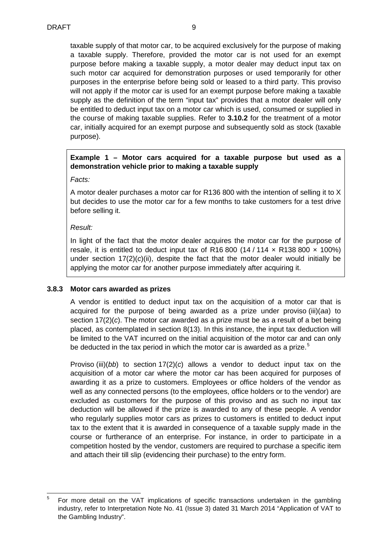taxable supply of that motor car, to be acquired exclusively for the purpose of making a taxable supply. Therefore, provided the motor car is not used for an exempt purpose before making a taxable supply, a motor dealer may deduct input tax on such motor car acquired for demonstration purposes or used temporarily for other purposes in the enterprise before being sold or leased to a third party. This proviso will not apply if the motor car is used for an exempt purpose before making a taxable supply as the definition of the term "input tax" provides that a motor dealer will only be entitled to deduct input tax on a motor car which is used, consumed or supplied in the course of making taxable supplies. Refer to **3.10.2** for the treatment of a motor car, initially acquired for an exempt purpose and subsequently sold as stock (taxable purpose).

# **Example 1 – Motor cars acquired for a taxable purpose but used as a demonstration vehicle prior to making a taxable supply**

*Facts:*

A motor dealer purchases a motor car for R136 800 with the intention of selling it to X but decides to use the motor car for a few months to take customers for a test drive before selling it.

#### *Result:*

In light of the fact that the motor dealer acquires the motor car for the purpose of resale, it is entitled to deduct input tax of R16 800 (14 / 114  $\times$  R138 800  $\times$  100%) under section  $17(2)(c)(ii)$ , despite the fact that the motor dealer would initially be applying the motor car for another purpose immediately after acquiring it.

#### <span id="page-8-0"></span>**3.8.3 Motor cars awarded as prizes**

A vendor is entitled to deduct input tax on the acquisition of a motor car that is acquired for the purpose of being awarded as a prize under proviso (iii)(*aa*) to section 17(2)(*c*). The motor car awarded as a prize must be as a result of a bet being placed, as contemplated in section 8(13). In this instance, the input tax deduction will be limited to the VAT incurred on the initial acquisition of the motor car and can only be deducted in the tax period in which the motor car is awarded as a prize.<sup>[5](#page-5-4)</sup>

Proviso (iii)(*bb*) to section 17(2)(*c*) allows a vendor to deduct input tax on the acquisition of a motor car where the motor car has been acquired for purposes of awarding it as a prize to customers. Employees or office holders of the vendor as well as any connected persons (to the employees, office holders or to the vendor) are excluded as customers for the purpose of this proviso and as such no input tax deduction will be allowed if the prize is awarded to any of these people. A vendor who regularly supplies motor cars as prizes to customers is entitled to deduct input tax to the extent that it is awarded in consequence of a taxable supply made in the course or furtherance of an enterprise. For instance, in order to participate in a competition hosted by the vendor, customers are required to purchase a specific item and attach their till slip (evidencing their purchase) to the entry form.

<span id="page-8-1"></span> $5$  For more detail on the VAT implications of specific transactions undertaken in the gambling industry, refer to Interpretation Note No. 41 (Issue 3) dated 31 March 2014 "Application of VAT to the Gambling Industry".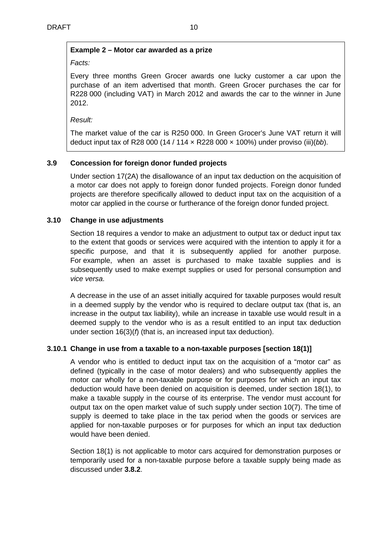# **Example 2 – Motor car awarded as a prize**

### *Facts:*

Every three months Green Grocer awards one lucky customer a car upon the purchase of an item advertised that month. Green Grocer purchases the car for R228 000 (including VAT) in March 2012 and awards the car to the winner in June 2012.

*Result:*

The market value of the car is R250 000. In Green Grocer's June VAT return it will deduct input tax of R28 000 (14 / 114 × R228 000 × 100%) under proviso (iii)(*bb*).

### <span id="page-9-0"></span>**3.9 Concession for foreign donor funded projects**

Under section 17(2A) the disallowance of an input tax deduction on the acquisition of a motor car does not apply to foreign donor funded projects. Foreign donor funded projects are therefore specifically allowed to deduct input tax on the acquisition of a motor car applied in the course or furtherance of the foreign donor funded project.

### <span id="page-9-1"></span>**3.10 Change in use adjustments**

Section 18 requires a vendor to make an adjustment to output tax or deduct input tax to the extent that goods or services were acquired with the intention to apply it for a specific purpose, and that it is subsequently applied for another purpose. For example, when an asset is purchased to make taxable supplies and is subsequently used to make exempt supplies or used for personal consumption and *vice versa*.

A decrease in the use of an asset initially acquired for taxable purposes would result in a deemed supply by the vendor who is required to declare output tax (that is, an increase in the output tax liability), while an increase in taxable use would result in a deemed supply to the vendor who is as a result entitled to an input tax deduction under section 16(3)(*f*) (that is, an increased input tax deduction).

### <span id="page-9-2"></span>**3.10.1 Change in use from a taxable to a non-taxable purposes [section 18(1)]**

A vendor who is entitled to deduct input tax on the acquisition of a "motor car" as defined (typically in the case of motor dealers) and who subsequently applies the motor car wholly for a non-taxable purpose or for purposes for which an input tax deduction would have been denied on acquisition is deemed, under section 18(1), to make a taxable supply in the course of its enterprise. The vendor must account for output tax on the open market value of such supply under section 10(7). The time of supply is deemed to take place in the tax period when the goods or services are applied for non-taxable purposes or for purposes for which an input tax deduction would have been denied.

Section 18(1) is not applicable to motor cars acquired for demonstration purposes or temporarily used for a non-taxable purpose before a taxable supply being made as discussed under **[3.8.2](#page-7-4)**.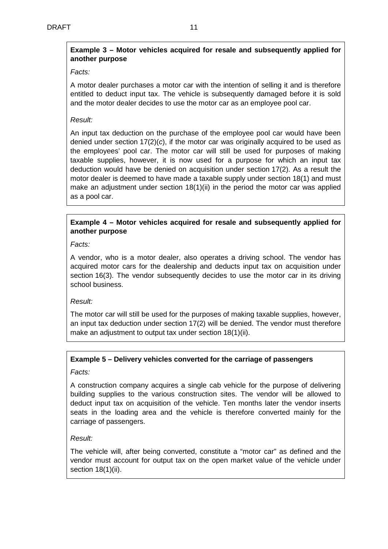# **Example 3 – Motor vehicles acquired for resale and subsequently applied for another purpose**

### *Facts:*

A motor dealer purchases a motor car with the intention of selling it and is therefore entitled to deduct input tax. The vehicle is subsequently damaged before it is sold and the motor dealer decides to use the motor car as an employee pool car.

### *Result:*

An input tax deduction on the purchase of the employee pool car would have been denied under section 17(2)(*c*), if the motor car was originally acquired to be used as the employees' pool car. The motor car will still be used for purposes of making taxable supplies, however, it is now used for a purpose for which an input tax deduction would have be denied on acquisition under section 17(2). As a result the motor dealer is deemed to have made a taxable supply under section 18(1) and must make an adjustment under section 18(1)(ii) in the period the motor car was applied as a pool car.

# **Example 4 – Motor vehicles acquired for resale and subsequently applied for another purpose**

*Facts:*

A vendor, who is a motor dealer, also operates a driving school. The vendor has acquired motor cars for the dealership and deducts input tax on acquisition under section 16(3). The vendor subsequently decides to use the motor car in its driving school business.

### *Result:*

The motor car will still be used for the purposes of making taxable supplies, however, an input tax deduction under section 17(2) will be denied. The vendor must therefore make an adjustment to output tax under section 18(1)(ii).

# **Example 5 – Delivery vehicles converted for the carriage of passengers**

### *Facts:*

A construction company acquires a single cab vehicle for the purpose of delivering building supplies to the various construction sites. The vendor will be allowed to deduct input tax on acquisition of the vehicle. Ten months later the vendor inserts seats in the loading area and the vehicle is therefore converted mainly for the carriage of passengers.

### *Result:*

The vehicle will, after being converted, constitute a "motor car" as defined and the vendor must account for output tax on the open market value of the vehicle under section 18(1)(ii).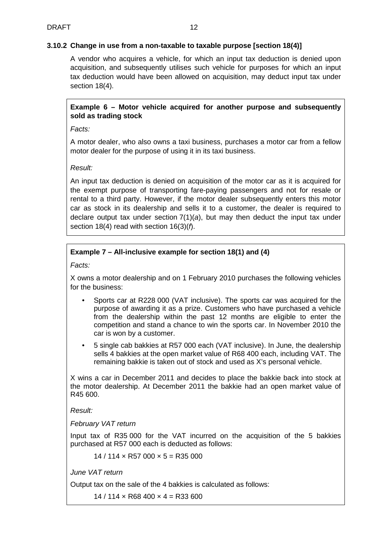### <span id="page-11-0"></span>**3.10.2 Change in use from a non-taxable to taxable purpose [section 18(4)]**

A vendor who acquires a vehicle, for which an input tax deduction is denied upon acquisition, and subsequently utilises such vehicle for purposes for which an input tax deduction would have been allowed on acquisition, may deduct input tax under section 18(4).

### **Example 6 – Motor vehicle acquired for another purpose and subsequently sold as trading stock**

*Facts:*

A motor dealer, who also owns a taxi business, purchases a motor car from a fellow motor dealer for the purpose of using it in its taxi business.

### *Result:*

An input tax deduction is denied on acquisition of the motor car as it is acquired for the exempt purpose of transporting fare-paying passengers and not for resale or rental to a third party. However, if the motor dealer subsequently enters this motor car as stock in its dealership and sells it to a customer, the dealer is required to declare output tax under section 7(1)(*a*), but may then deduct the input tax under section 18(4) read with section 16(3)(*f*).

### **Example 7 – All-inclusive example for section 18(1) and (4)**

*Facts:*

X owns a motor dealership and on 1 February 2010 purchases the following vehicles for the business:

- Sports car at R228 000 (VAT inclusive). The sports car was acquired for the purpose of awarding it as a prize. Customers who have purchased a vehicle from the dealership within the past 12 months are eligible to enter the competition and stand a chance to win the sports car. In November 2010 the car is won by a customer.
- 5 single cab bakkies at R57 000 each (VAT inclusive). In June, the dealership sells 4 bakkies at the open market value of R68 400 each, including VAT. The remaining bakkie is taken out of stock and used as X's personal vehicle.

X wins a car in December 2011 and decides to place the bakkie back into stock at the motor dealership. At December 2011 the bakkie had an open market value of R45 600.

*Result:*

*February VAT return*

Input tax of R35 000 for the VAT incurred on the acquisition of the 5 bakkies purchased at R57 000 each is deducted as follows:

 $14/114 \times$  R57 000  $\times$  5 = R35 000

*June VAT return*

Output tax on the sale of the 4 bakkies is calculated as follows:

 $14 / 114 \times R68 400 \times 4 = R33 600$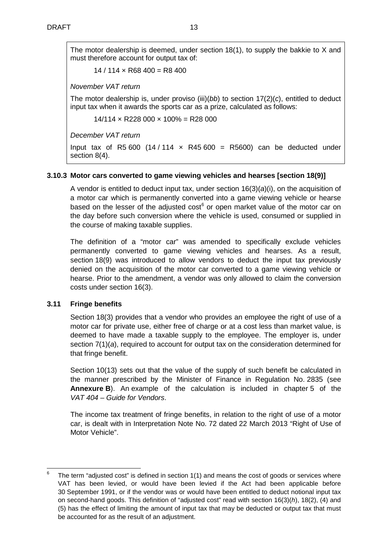The motor dealership is deemed, under section 18(1), to supply the bakkie to X and must therefore account for output tax of:

 $14 / 114 \times R68 400 = R8 400$ 

*November VAT return*

The motor dealership is, under proviso (iii)(*bb*) to section 17(2)(*c*), entitled to deduct input tax when it awards the sports car as a prize, calculated as follows:

 $14/114 \times R228\,000 \times 100\% = R28\,000$ 

*December VAT return*

Input tax of R5 600 (14/114  $\times$  R45 600 = R5600) can be deducted under section 8(4).

### <span id="page-12-0"></span>**3.10.3 Motor cars converted to game viewing vehicles and hearses [section 18(9)]**

A vendor is entitled to deduct input tax, under section 16(3)(*a*)(i), on the acquisition of a motor car which is permanently converted into a game viewing vehicle or hearse based on the lesser of the adjusted cost $<sup>6</sup>$  $<sup>6</sup>$  $<sup>6</sup>$  or open market value of the motor car on</sup> the day before such conversion where the vehicle is used, consumed or supplied in the course of making taxable supplies.

The definition of a "motor car" was amended to specifically exclude vehicles permanently converted to game viewing vehicles and hearses. As a result, section 18(9) was introduced to allow vendors to deduct the input tax previously denied on the acquisition of the motor car converted to a game viewing vehicle or hearse. Prior to the amendment, a vendor was only allowed to claim the conversion costs under section 16(3).

### <span id="page-12-1"></span>**3.11 Fringe benefits**

Section 18(3) provides that a vendor who provides an employee the right of use of a motor car for private use, either free of charge or at a cost less than market value, is deemed to have made a taxable supply to the employee. The employer is, under section 7(1)(*a*), required to account for output tax on the consideration determined for that fringe benefit.

Section 10(13) sets out that the value of the supply of such benefit be calculated in the manner prescribed by the Minister of Finance in Regulation No. 2835 (see **[Annexure](#page-21-0) B**). An example of the calculation is included in chapter 5 of the *VAT 404 – Guide for Vendors*.

The income tax treatment of fringe benefits, in relation to the right of use of a motor car, is dealt with in Interpretation Note No. 72 dated 22 March 2013 "Right of Use of Motor Vehicle".

 $6$  The term "adjusted cost" is defined in section 1(1) and means the cost of goods or services where VAT has been levied, or would have been levied if the Act had been applicable before 30 September 1991, or if the vendor was or would have been entitled to deduct notional input tax on second-hand goods. This definition of "adjusted cost" read with section 16(3)(*h*), 18(2), (4) and (5) has the effect of limiting the amount of input tax that may be deducted or output tax that must be accounted for as the result of an adjustment.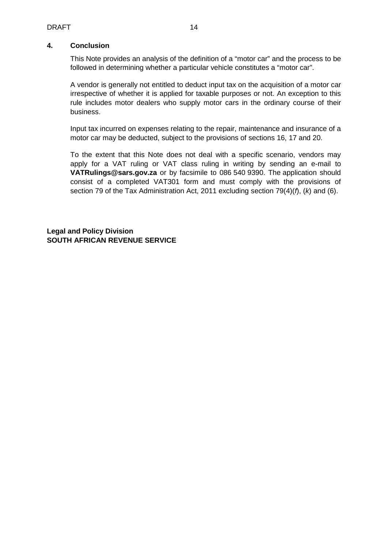### <span id="page-13-0"></span>**4. Conclusion**

This Note provides an analysis of the definition of a "motor car" and the process to be followed in determining whether a particular vehicle constitutes a "motor car".

A vendor is generally not entitled to deduct input tax on the acquisition of a motor car irrespective of whether it is applied for taxable purposes or not. An exception to this rule includes motor dealers who supply motor cars in the ordinary course of their business.

Input tax incurred on expenses relating to the repair, maintenance and insurance of a motor car may be deducted, subject to the provisions of sections 16, 17 and 20.

To the extent that this Note does not deal with a specific scenario, vendors may apply for a VAT ruling or VAT class ruling in writing by sending an e-mail to **VATRulings@sars.gov.za** or by facsimile to 086 540 9390. The application should consist of a completed VAT301 form and must comply with the provisions of section 79 of the Tax Administration Act, 2011 excluding section 79(4)(*f*), (*k*) and (6).

**Legal and Policy Division SOUTH AFRICAN REVENUE SERVICE**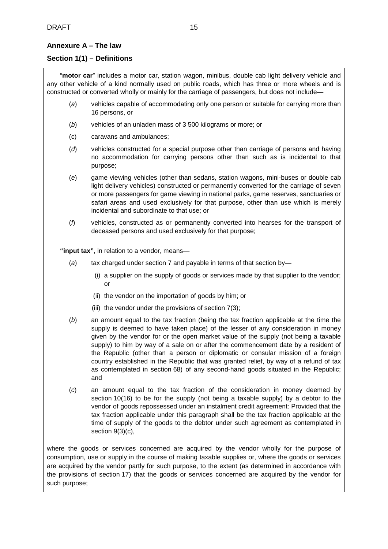# <span id="page-14-0"></span>**Section 1(1) – Definitions**

"**motor car**" includes a motor car, station wagon, minibus, double cab light delivery vehicle and any other vehicle of a kind normally used on public roads, which has three or more wheels and is constructed or converted wholly or mainly for the carriage of passengers, but does not include—

- (*a*) vehicles capable of accommodating only one person or suitable for carrying more than 16 persons, or
- (*b*) vehicles of an unladen mass of 3 500 kilograms or more; or
- (c) caravans and ambulances;
- (*d*) vehicles constructed for a special purpose other than carriage of persons and having no accommodation for carrying persons other than such as is incidental to that purpose;
- (*e*) game viewing vehicles (other than sedans, station wagons, mini-buses or double cab light delivery vehicles) constructed or permanently converted for the carriage of seven or more passengers for game viewing in national parks, game reserves, sanctuaries or safari areas and used exclusively for that purpose, other than use which is merely incidental and subordinate to that use; or
- (*f*) vehicles, constructed as or permanently converted into hearses for the transport of deceased persons and used exclusively for that purpose;

**"input tax"**, in relation to a vendor, means—

- (a) tax charged under section 7 and payable in terms of that section by-
	- (i) a supplier on the supply of goods or services made by that supplier to the vendor; or
	- (ii) the vendor on the importation of goods by him; or
	- (iii) the vendor under the provisions of section 7(3);
- (*b*) an amount equal to the tax fraction (being the tax fraction applicable at the time the supply is deemed to have taken place) of the lesser of any consideration in money given by the vendor for or the open market value of the supply (not being a taxable supply) to him by way of a sale on or after the commencement date by a resident of the Republic (other than a person or diplomatic or consular mission of a foreign country established in the Republic that was granted relief, by way of a refund of tax as contemplated in section 68) of any second-hand goods situated in the Republic; and
- (*c*) an amount equal to the tax fraction of the consideration in money deemed by section 10(16) to be for the supply (not being a taxable supply) by a debtor to the vendor of goods repossessed under an instalment credit agreement: Provided that the tax fraction applicable under this paragraph shall be the tax fraction applicable at the time of supply of the goods to the debtor under such agreement as contemplated in section 9(3)(c),

where the goods or services concerned are acquired by the vendor wholly for the purpose of consumption, use or supply in the course of making taxable supplies or, where the goods or services are acquired by the vendor partly for such purpose, to the extent (as determined in accordance with the provisions of section 17) that the goods or services concerned are acquired by the vendor for such purpose;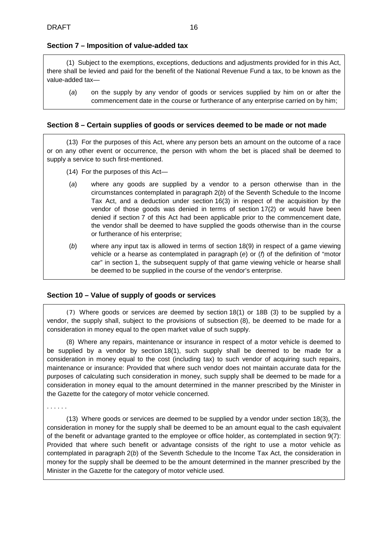### **Section 7 – Imposition of value-added tax**

(1) Subject to the exemptions, exceptions, deductions and adjustments provided for in this Act, there shall be levied and paid for the benefit of the National Revenue Fund a tax, to be known as the value-added tax—

(*a*) on the supply by any vendor of goods or services supplied by him on or after the commencement date in the course or furtherance of any enterprise carried on by him;

#### **Section 8 – Certain supplies of goods or services deemed to be made or not made**

(13) For the purposes of this Act, where any person bets an amount on the outcome of a race or on any other event or occurrence, the person with whom the bet is placed shall be deemed to supply a service to such first-mentioned.

- (14) For the purposes of this Act—
- (*a*) where any goods are supplied by a vendor to a person otherwise than in the circumstances contemplated in paragraph 2(*b*) of the Seventh Schedule to the Income Tax Act, and a deduction under section 16(3) in respect of the acquisition by the vendor of those goods was denied in terms of section 17(2) or would have been denied if section 7 of this Act had been applicable prior to the commencement date, the vendor shall be deemed to have supplied the goods otherwise than in the course or furtherance of his enterprise;
- (*b*) where any input tax is allowed in terms of section 18(9) in respect of a game viewing vehicle or a hearse as contemplated in paragraph (*e*) or (*f*) of the definition of "motor car" in section 1, the subsequent supply of that game viewing vehicle or hearse shall be deemed to be supplied in the course of the vendor's enterprise.

#### **Section 10 – Value of supply of goods or services**

(7) Where goods or services are deemed by section 18(1) or 18B (3) to be supplied by a vendor, the supply shall, subject to the provisions of subsection (8), be deemed to be made for a consideration in money equal to the open market value of such supply.

(8) Where any repairs, maintenance or insurance in respect of a motor vehicle is deemed to be supplied by a vendor by section 18(1), such supply shall be deemed to be made for a consideration in money equal to the cost (including tax) to such vendor of acquiring such repairs, maintenance or insurance: Provided that where such vendor does not maintain accurate data for the purposes of calculating such consideration in money, such supply shall be deemed to be made for a consideration in money equal to the amount determined in the manner prescribed by the Minister in the Gazette for the category of motor vehicle concerned.

. . . . . .

(13) Where goods or services are deemed to be supplied by a vendor under [section](http://ptabriis04/nxt/gateway.dll/jilc/kilc/artg/drtg/ertg/abbj#gb) 18(3), the consideration in money for the supply shall be deemed to be an amount equal to the cash equivalent of the benefit or advantage granted to the employee or office holder, as contemplated in [section](http://ptabriis04/nxt/gateway.dll/jilc/kilc/artg/drtg/ertg/1abj#gu) 9(7): Provided that where such benefit or advantage consists of the right to use a motor vehicle as contemplated in paragraph 2(*b*) of the Seventh Schedule to the Income Tax Act, the consideration in money for the supply shall be deemed to be the amount determined in the manner prescribed by the Minister in the Gazette for the category of motor vehicle used.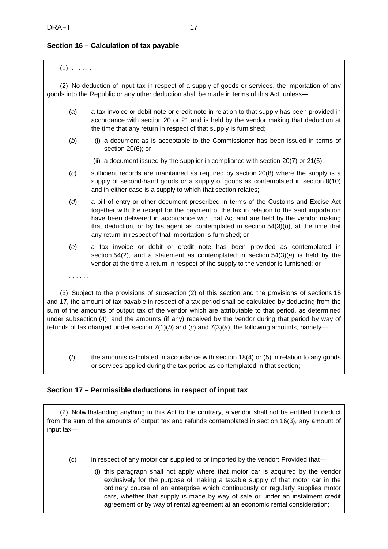### **Section 16 – Calculation of tax payable**

 $(1)$  . . . . . .

(2) No deduction of input tax in respect of a supply of goods or services, the importation of any goods into the Republic or any other deduction shall be made in terms of this Act, unless—

- (*a*) a tax invoice or debit note or credit note in relation to that supply has been provided in accordance with section 20 or 21 and is held by the vendor making that deduction at the time that any return in respect of that supply is furnished;
- (b) (i) a document as is acceptable to the Commissioner has been issued in terms of section 20(6); or
	- (ii) a document issued by the supplier in compliance with section  $20(7)$  or  $21(5)$ ;
- (*c*) sufficient records are maintained as required by section 20(8) where the supply is a supply of second-hand goods or a supply of goods as contemplated in section 8(10) and in either case is a supply to which that section relates;
- (*d*) a bill of entry or other document prescribed in terms of the [Customs and Excise Act](javascript:void(0);) together with the receipt for the payment of the tax in relation to the said importation have been delivered in accordance with that Act and are held by the vendor making that deduction, or by his agent as contemplated in [section](http://www.acts.co.za/value-added-tax-act-1991/vat_54__agents_and_auctioneers.php) 54(3)(*b*), at the time that any return in respect of that importation is furnished; or
- (*e*) a tax invoice or debit or credit note has been provided as contemplated in section 54(2), and a statement as contemplated in section 54(3)(*a*) is held by the vendor at the time a return in respect of the supply to the vendor is furnished; or
- . . . . . .

(3) Subject to the provisions of subsection (2) of this section and the provisions of sections 15 and 17, the amount of tax payable in respect of a tax period shall be calculated by deducting from the sum of the amounts of output tax of the vendor which are attributable to that period, as determined under subsection (4), and the amounts (if any) received by the vendor during that period by way of refunds of tax charged under section 7(1)(*b*) and (*c*) and 7(3)(*a*), the following amounts, namely—

. . . . . .

. . . . . .

(*f*) the amounts calculated in accordance with section 18(4) or (5) in relation to any goods or services applied during the tax period as contemplated in that section;

### **Section 17 – Permissible deductions in respect of input tax**

(2) Notwithstanding anything in this Act to the contrary, a vendor shall not be entitled to deduct from the sum of the amounts of output tax and refunds contemplated in section 16(3), any amount of input tax—

- (*c*) in respect of any motor car supplied to or imported by the vendor: Provided that—
	- (i) this paragraph shall not apply where that motor car is acquired by the vendor exclusively for the purpose of making a taxable supply of that motor car in the ordinary course of an enterprise which continuously or regularly supplies motor cars, whether that supply is made by way of sale or under an instalment credit agreement or by way of rental agreement at an economic rental consideration;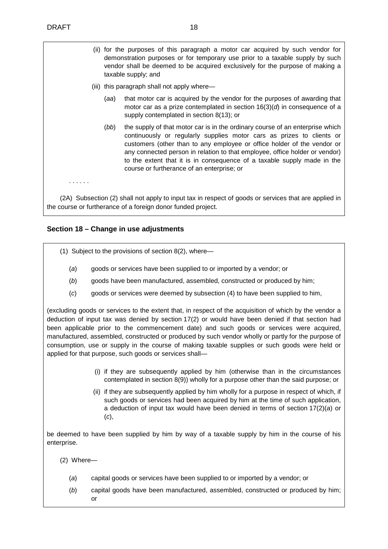- (ii) for the purposes of this paragraph a motor car acquired by such vendor for demonstration purposes or for temporary use prior to a taxable supply by such vendor shall be deemed to be acquired exclusively for the purpose of making a taxable supply; and
- (iii) this paragraph shall not apply where—
	- (*aa*) that motor car is acquired by the vendor for the purposes of awarding that motor car as a prize contemplated in section 16(3)(*d*) in consequence of a supply contemplated in section 8(13); or
	- (*bb*) the supply of that motor car is in the ordinary course of an enterprise which continuously or regularly supplies motor cars as prizes to clients or customers (other than to any employee or office holder of the vendor or any connected person in relation to that employee, office holder or vendor) to the extent that it is in consequence of a taxable supply made in the course or furtherance of an enterprise; or

. . . . . .

(2A) Subsection (2) shall not apply to input tax in respect of goods or services that are applied in the course or furtherance of a foreign donor funded project.

#### **Section 18 – Change in use adjustments**

- (1) Subject to the provisions of section 8(2), where—
	- (*a*) goods or services have been supplied to or imported by a vendor; or
	- (*b*) goods have been manufactured, assembled, constructed or produced by him;
	- (*c*) goods or services were deemed by subsection (4) to have been supplied to him,

(excluding goods or services to the extent that, in respect of the acquisition of which by the vendor a deduction of input tax was denied by section 17(2) or would have been denied if that section had been applicable prior to the commencement date) and such goods or services were acquired, manufactured, assembled, constructed or produced by such vendor wholly or partly for the purpose of consumption, use or supply in the course of making taxable supplies or such goods were held or applied for that purpose, such goods or services shall—

- (i) if they are subsequently applied by him (otherwise than in the circumstances contemplated in section 8(9)) wholly for a purpose other than the said purpose; or
- (ii) if they are subsequently applied by him wholly for a purpose in respect of which, if such goods or services had been acquired by him at the time of such application, a deduction of input tax would have been denied in terms of section 17(2)(*a*) or (*c*),

be deemed to have been supplied by him by way of a taxable supply by him in the course of his enterprise.

(2) Where—

- (*a*) capital goods or services have been supplied to or imported by a vendor; or
- (*b*) capital goods have been manufactured, assembled, constructed or produced by him; or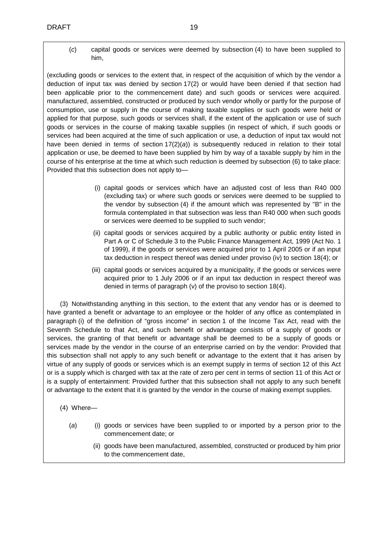(*c*) capital goods or services were deemed by subsection (4) to have been supplied to him,

(excluding goods or services to the extent that, in respect of the acquisition of which by the vendor a deduction of input tax was denied by section 17(2) or would have been denied if that section had been applicable prior to the commencement date) and such goods or services were acquired. manufactured, assembled, constructed or produced by such vendor wholly or partly for the purpose of consumption, use or supply in the course of making taxable supplies or such goods were held or applied for that purpose, such goods or services shall, if the extent of the application or use of such goods or services in the course of making taxable supplies (in respect of which, if such goods or services had been acquired at the time of such application or use, a deduction of input tax would not have been denied in terms of section 17(2)(*a*)) is subsequently reduced in relation to their total application or use, be deemed to have been supplied by him by way of a taxable supply by him in the course of his enterprise at the time at which such reduction is deemed by subsection (6) to take place: Provided that this subsection does not apply to—

- (i) capital goods or services which have an adjusted cost of less than R40 000 (excluding tax) or where such goods or services were deemed to be supplied to the vendor by subsection (4) if the amount which was represented by "B" in the formula contemplated in that subsection was less than R40 000 when such goods or services were deemed to be supplied to such vendor;
- (ii) capital goods or services acquired by a public authority or public entity listed in Part A or C of Schedule 3 to the Public Finance Management Act, 1999 (Act No. 1 of 1999), if the goods or services were acquired prior to 1 April 2005 or if an input tax deduction in respect thereof was denied under proviso (iv) to section 18(4); or
- (iii) capital goods or services acquired by a municipality, if the goods or services were acquired prior to 1 July 2006 or if an input tax deduction in respect thereof was denied in terms of paragraph (v) of the proviso to section 18(4).

(3) Notwithstanding anything in this section, to the extent that any vendor has or is deemed to have granted a benefit or advantage to an employee or the holder of any office as contemplated in paragraph (i) of the definition of "gross income" in section 1 of the Income Tax Act, read with the Seventh Schedule to that Act, and such benefit or advantage consists of a supply of goods or services, the granting of that benefit or advantage shall be deemed to be a supply of goods or services made by the vendor in the course of an enterprise carried on by the vendor: Provided that this subsection shall not apply to any such benefit or advantage to the extent that it has arisen by virtue of any supply of goods or services which is an exempt supply in terms of section 12 of this Act or is a supply which is charged with tax at the rate of zero per cent in terms of section 11 of this Act or is a supply of entertainment: Provided further that this subsection shall not apply to any such benefit or advantage to the extent that it is granted by the vendor in the course of making exempt supplies.

(4) Where—

- (*a*) (i) goods or services have been supplied to or imported by a person prior to the commencement date; or
	- (ii) goods have been manufactured, assembled, constructed or produced by him prior to the commencement date,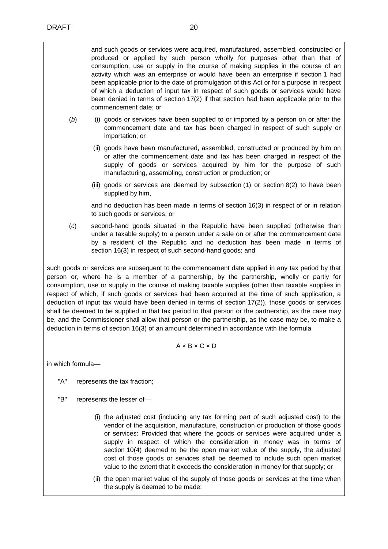and such goods or services were acquired, manufactured, assembled, constructed or produced or applied by such person wholly for purposes other than that of consumption, use or supply in the course of making supplies in the course of an activity which was an enterprise or would have been an enterprise if section 1 had been applicable prior to the date of promulgation of this Act or for a purpose in respect of which a deduction of input tax in respect of such goods or services would have been denied in terms of section 17(2) if that section had been applicable prior to the commencement date; or

- (*b*) (i) goods or services have been supplied to or imported by a person on or after the commencement date and tax has been charged in respect of such supply or importation; or
	- (ii) goods have been manufactured, assembled, constructed or produced by him on or after the commencement date and tax has been charged in respect of the supply of goods or services acquired by him for the purpose of such manufacturing, assembling, construction or production; or
	- (iii) goods or services are deemed by subsection (1) or section 8(2) to have been supplied by him,

and no deduction has been made in terms of section 16(3) in respect of or in relation to such goods or services; or

(*c*) second-hand goods situated in the Republic have been supplied (otherwise than under a taxable supply) to a person under a sale on or after the commencement date by a resident of the Republic and no deduction has been made in terms of section 16(3) in respect of such second-hand goods; and

such goods or services are subsequent to the commencement date applied in any tax period by that person or, where he is a member of a partnership, by the partnership, wholly or partly for consumption, use or supply in the course of making taxable supplies (other than taxable supplies in respect of which, if such goods or services had been acquired at the time of such application, a deduction of input tax would have been denied in terms of section 17(2)), those goods or services shall be deemed to be supplied in that tax period to that person or the partnership, as the case may be, and the Commissioner shall allow that person or the partnership, as the case may be, to make a deduction in terms of section 16(3) of an amount determined in accordance with the formula

#### A × B × C × D

in which formula—

- "A" represents the tax fraction;
- "B" represents the lesser of—
	- (i) the adjusted cost (including any tax forming part of such adjusted cost) to the vendor of the acquisition, manufacture, construction or production of those goods or services: Provided that where the goods or services were acquired under a supply in respect of which the consideration in money was in terms of section 10(4) deemed to be the open market value of the supply, the adjusted cost of those goods or services shall be deemed to include such open market value to the extent that it exceeds the consideration in money for that supply; or
	- (ii) the open market value of the supply of those goods or services at the time when the supply is deemed to be made;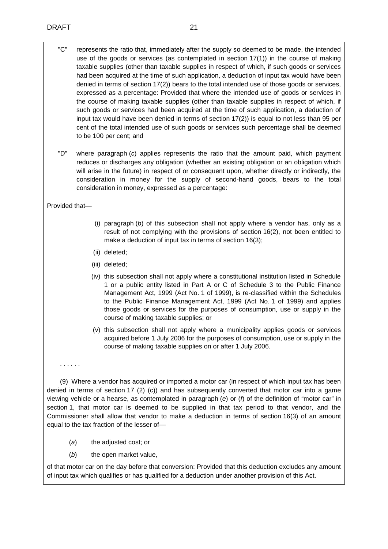- "C" represents the ratio that, immediately after the supply so deemed to be made, the intended use of the goods or services (as contemplated in section 17(1)) in the course of making taxable supplies (other than taxable supplies in respect of which, if such goods or services had been acquired at the time of such application, a deduction of input tax would have been denied in terms of section 17(2)) bears to the total intended use of those goods or services, expressed as a percentage: Provided that where the intended use of goods or services in the course of making taxable supplies (other than taxable supplies in respect of which, if such goods or services had been acquired at the time of such application, a deduction of input tax would have been denied in terms of section 17(2)) is equal to not less than 95 per cent of the total intended use of such goods or services such percentage shall be deemed to be 100 per cent; and
- "D" where paragraph (*c*) applies represents the ratio that the amount paid, which payment reduces or discharges any obligation (whether an existing obligation or an obligation which will arise in the future) in respect of or consequent upon, whether directly or indirectly, the consideration in money for the supply of second-hand goods, bears to the total consideration in money, expressed as a percentage:

Provided that—

- (i) paragraph (*b*) of this subsection shall not apply where a vendor has, only as a result of not complying with the provisions of section 16(2), not been entitled to make a deduction of input tax in terms of section 16(3);
- (ii) deleted;
- (iii) deleted;
- (iv) this subsection shall not apply where a constitutional institution listed in Schedule 1 or a public entity listed in Part A or C of Schedule 3 to the Public Finance Management Act, 1999 (Act No. 1 of 1999), is re-classified within the Schedules to the Public Finance Management Act, 1999 (Act No. 1 of 1999) and applies those goods or services for the purposes of consumption, use or supply in the course of making taxable supplies; or
- (v) this subsection shall not apply where a municipality applies goods or services acquired before 1 July 2006 for the purposes of consumption, use or supply in the course of making taxable supplies on or after 1 July 2006.

. . . . . .

(9) Where a vendor has acquired or imported a motor car (in respect of which input tax has been denied in terms of section 17 (2) (c)) and has subsequently converted that motor car into a game viewing vehicle or a hearse, as contemplated in [paragraph](http://ptabriis04/nxt/gateway.dll/jilc/kilc/artg/drtg/ertg/tabj#g5e) (*e*) or [\(](http://ptabriis04/nxt/gateway.dll/jilc/kilc/artg/drtg/ertg/tabj#g67)*f*) of the definition of ["motor car"](http://ptabriis04/nxt/gateway.dll/jilc/kilc/artg/drtg/ertg/tabj#g3i) in [section](http://ptabriis04/nxt/gateway.dll/jilc/kilc/artg/drtg/ertg/tabj#g0) 1, that motor car is deemed to be supplied in that tax period to that vendor, and the Commissioner shall allow that vendor to make a deduction in terms of [section](http://ptabriis04/nxt/gateway.dll/jilc/kilc/artg/drtg/ertg/8abj#g8) 16(3) of an amount equal to the tax fraction of the lesser of—

- (*a*) the adjusted cost; or
- (b) the open market value,

of that motor car on the day before that conversion: Provided that this deduction excludes any amount of input tax which qualifies or has qualified for a deduction under another provision of this Act.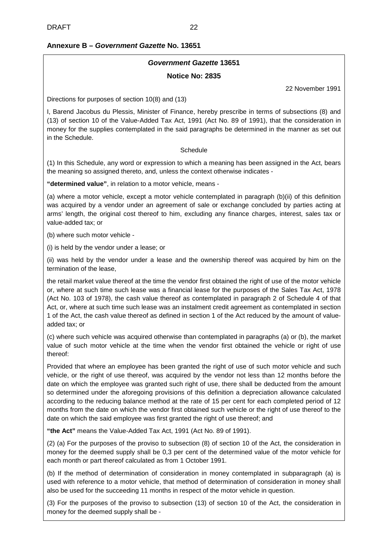# <span id="page-21-0"></span>**Annexure B –** *Government Gazette* **No. 13651**

### *Government Gazette* **13651**

**Notice No: 2835**

22 November 1991

Directions for purposes of section 10(8) and (13)

I, Barend Jacobus du Plessis, Minister of Finance, hereby prescribe in terms of subsections (8) and (13) of section 10 of the Value-Added Tax Act, 1991 (Act No. 89 of 1991), that the consideration in money for the supplies contemplated in the said paragraphs be determined in the manner as set out in the Schedule.

#### **Schedule**

(1) In this Schedule, any word or expression to which a meaning has been assigned in the Act, bears the meaning so assigned thereto, and, unless the context otherwise indicates -

**"determined value"**, in relation to a motor vehicle, means -

(a) where a motor vehicle, except a motor vehicle contemplated in paragraph (b)(ii) of this definition was acquired by a vendor under an agreement of sale or exchange concluded by parties acting at arms' length, the original cost thereof to him, excluding any finance charges, interest, sales tax or value-added tax; or

(b) where such motor vehicle -

(i) is held by the vendor under a lease; or

(ii) was held by the vendor under a lease and the ownership thereof was acquired by him on the termination of the lease,

the retail market value thereof at the time the vendor first obtained the right of use of the motor vehicle or, where at such time such lease was a financial lease for the purposes of the Sales Tax Act, 1978 (Act No. 103 of 1978), the cash value thereof as contemplated in paragraph 2 of Schedule 4 of that Act, or, where at such time such lease was an instalment credit agreement as contemplated in section 1 of the Act, the cash value thereof as defined in section 1 of the Act reduced by the amount of valueadded tax; or

(c) where such vehicle was acquired otherwise than contemplated in paragraphs (a) or (b), the market value of such motor vehicle at the time when the vendor first obtained the vehicle or right of use thereof:

Provided that where an employee has been granted the right of use of such motor vehicle and such vehicle, or the right of use thereof, was acquired by the vendor not less than 12 months before the date on which the employee was granted such right of use, there shall be deducted from the amount so determined under the aforegoing provisions of this definition a depreciation allowance calculated according to the reducing balance method at the rate of 15 per cent for each completed period of 12 months from the date on which the vendor first obtained such vehicle or the right of use thereof to the date on which the said employee was first granted the right of use thereof; and

**"the Act"** means the Value-Added Tax Act, 1991 (Act No. 89 of 1991).

(2) (a) For the purposes of the proviso to subsection (8) of section 10 of the Act, the consideration in money for the deemed supply shall be 0,3 per cent of the determined value of the motor vehicle for each month or part thereof calculated as from 1 October 1991.

(b) If the method of determination of consideration in money contemplated in subparagraph (a) is used with reference to a motor vehicle, that method of determination of consideration in money shall also be used for the succeeding 11 months in respect of the motor vehicle in question.

(3) For the purposes of the proviso to subsection (13) of section 10 of the Act, the consideration in money for the deemed supply shall be -